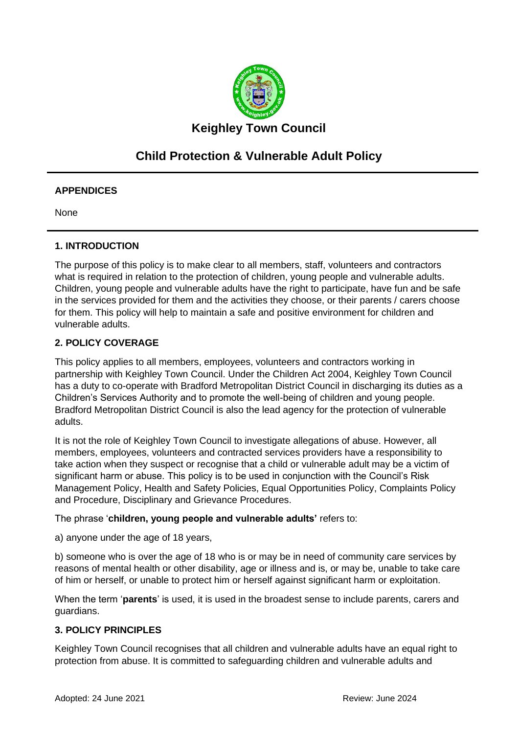

# **Child Protection & Vulnerable Adult Policy**

## **APPENDICES**

None

## **1. INTRODUCTION**

The purpose of this policy is to make clear to all members, staff, volunteers and contractors what is required in relation to the protection of children, young people and vulnerable adults. Children, young people and vulnerable adults have the right to participate, have fun and be safe in the services provided for them and the activities they choose, or their parents / carers choose for them. This policy will help to maintain a safe and positive environment for children and vulnerable adults.

## **2. POLICY COVERAGE**

This policy applies to all members, employees, volunteers and contractors working in partnership with Keighley Town Council. Under the Children Act 2004, Keighley Town Council has a duty to co-operate with Bradford Metropolitan District Council in discharging its duties as a Children's Services Authority and to promote the well-being of children and young people. Bradford Metropolitan District Council is also the lead agency for the protection of vulnerable adults.

It is not the role of Keighley Town Council to investigate allegations of abuse. However, all members, employees, volunteers and contracted services providers have a responsibility to take action when they suspect or recognise that a child or vulnerable adult may be a victim of significant harm or abuse. This policy is to be used in conjunction with the Council's Risk Management Policy, Health and Safety Policies, Equal Opportunities Policy, Complaints Policy and Procedure, Disciplinary and Grievance Procedures.

The phrase '**children, young people and vulnerable adults'** refers to:

a) anyone under the age of 18 years,

b) someone who is over the age of 18 who is or may be in need of community care services by reasons of mental health or other disability, age or illness and is, or may be, unable to take care of him or herself, or unable to protect him or herself against significant harm or exploitation.

When the term '**parents**' is used, it is used in the broadest sense to include parents, carers and guardians.

### **3. POLICY PRINCIPLES**

Keighley Town Council recognises that all children and vulnerable adults have an equal right to protection from abuse. It is committed to safeguarding children and vulnerable adults and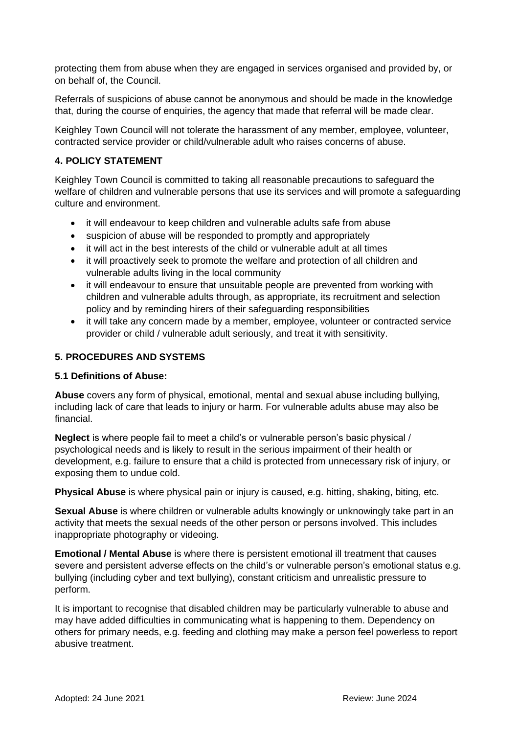protecting them from abuse when they are engaged in services organised and provided by, or on behalf of, the Council.

Referrals of suspicions of abuse cannot be anonymous and should be made in the knowledge that, during the course of enquiries, the agency that made that referral will be made clear.

Keighley Town Council will not tolerate the harassment of any member, employee, volunteer, contracted service provider or child/vulnerable adult who raises concerns of abuse.

## **4. POLICY STATEMENT**

Keighley Town Council is committed to taking all reasonable precautions to safeguard the welfare of children and vulnerable persons that use its services and will promote a safeguarding culture and environment.

- it will endeavour to keep children and vulnerable adults safe from abuse
- suspicion of abuse will be responded to promptly and appropriately
- it will act in the best interests of the child or vulnerable adult at all times
- it will proactively seek to promote the welfare and protection of all children and vulnerable adults living in the local community
- it will endeavour to ensure that unsuitable people are prevented from working with children and vulnerable adults through, as appropriate, its recruitment and selection policy and by reminding hirers of their safeguarding responsibilities
- it will take any concern made by a member, employee, volunteer or contracted service provider or child / vulnerable adult seriously, and treat it with sensitivity.

## **5. PROCEDURES AND SYSTEMS**

### **5.1 Definitions of Abuse:**

**Abuse** covers any form of physical, emotional, mental and sexual abuse including bullying, including lack of care that leads to injury or harm. For vulnerable adults abuse may also be financial.

**Neglect** is where people fail to meet a child's or vulnerable person's basic physical / psychological needs and is likely to result in the serious impairment of their health or development, e.g. failure to ensure that a child is protected from unnecessary risk of injury, or exposing them to undue cold.

**Physical Abuse** is where physical pain or injury is caused, e.g. hitting, shaking, biting, etc.

**Sexual Abuse** is where children or vulnerable adults knowingly or unknowingly take part in an activity that meets the sexual needs of the other person or persons involved. This includes inappropriate photography or videoing.

**Emotional / Mental Abuse** is where there is persistent emotional ill treatment that causes severe and persistent adverse effects on the child's or vulnerable person's emotional status e.g. bullying (including cyber and text bullying), constant criticism and unrealistic pressure to perform.

It is important to recognise that disabled children may be particularly vulnerable to abuse and may have added difficulties in communicating what is happening to them. Dependency on others for primary needs, e.g. feeding and clothing may make a person feel powerless to report abusive treatment.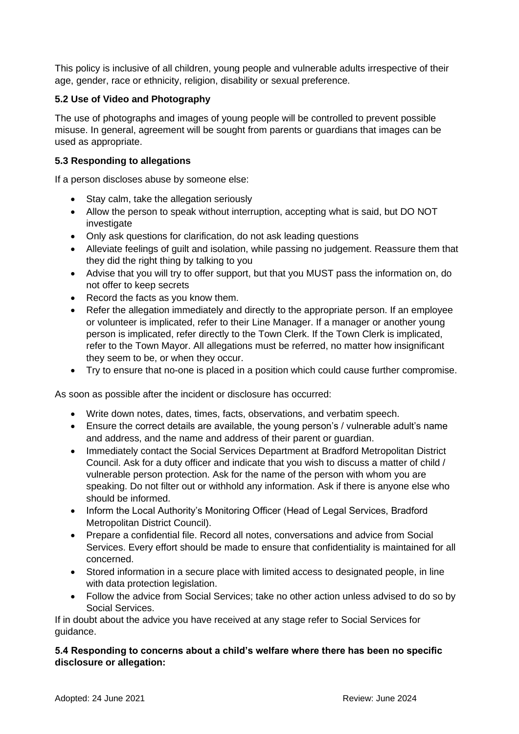This policy is inclusive of all children, young people and vulnerable adults irrespective of their age, gender, race or ethnicity, religion, disability or sexual preference.

## **5.2 Use of Video and Photography**

The use of photographs and images of young people will be controlled to prevent possible misuse. In general, agreement will be sought from parents or guardians that images can be used as appropriate.

## **5.3 Responding to allegations**

If a person discloses abuse by someone else:

- Stay calm, take the allegation seriously
- Allow the person to speak without interruption, accepting what is said, but DO NOT investigate
- Only ask questions for clarification, do not ask leading questions
- Alleviate feelings of guilt and isolation, while passing no judgement. Reassure them that they did the right thing by talking to you
- Advise that you will try to offer support, but that you MUST pass the information on, do not offer to keep secrets
- Record the facts as you know them.
- Refer the allegation immediately and directly to the appropriate person. If an employee or volunteer is implicated, refer to their Line Manager. If a manager or another young person is implicated, refer directly to the Town Clerk. If the Town Clerk is implicated, refer to the Town Mayor. All allegations must be referred, no matter how insignificant they seem to be, or when they occur.
- Try to ensure that no-one is placed in a position which could cause further compromise.

As soon as possible after the incident or disclosure has occurred:

- Write down notes, dates, times, facts, observations, and verbatim speech.
- Ensure the correct details are available, the young person's / vulnerable adult's name and address, and the name and address of their parent or guardian.
- Immediately contact the Social Services Department at Bradford Metropolitan District Council. Ask for a duty officer and indicate that you wish to discuss a matter of child / vulnerable person protection. Ask for the name of the person with whom you are speaking. Do not filter out or withhold any information. Ask if there is anyone else who should be informed.
- Inform the Local Authority's Monitoring Officer (Head of Legal Services, Bradford Metropolitan District Council).
- Prepare a confidential file. Record all notes, conversations and advice from Social Services. Every effort should be made to ensure that confidentiality is maintained for all concerned.
- Stored information in a secure place with limited access to designated people, in line with data protection legislation.
- Follow the advice from Social Services; take no other action unless advised to do so by Social Services.

If in doubt about the advice you have received at any stage refer to Social Services for guidance.

## **5.4 Responding to concerns about a child's welfare where there has been no specific disclosure or allegation:**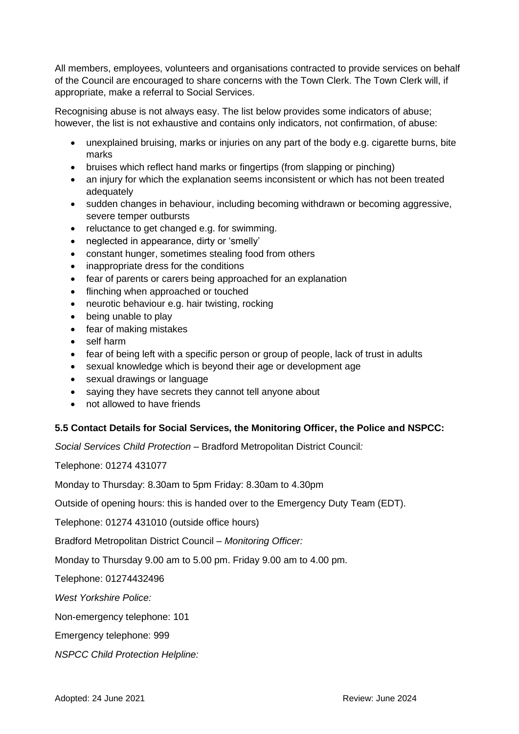All members, employees, volunteers and organisations contracted to provide services on behalf of the Council are encouraged to share concerns with the Town Clerk. The Town Clerk will, if appropriate, make a referral to Social Services.

Recognising abuse is not always easy. The list below provides some indicators of abuse; however, the list is not exhaustive and contains only indicators, not confirmation, of abuse:

- unexplained bruising, marks or injuries on any part of the body e.g. cigarette burns, bite marks
- bruises which reflect hand marks or fingertips (from slapping or pinching)
- an injury for which the explanation seems inconsistent or which has not been treated adequately
- sudden changes in behaviour, including becoming withdrawn or becoming aggressive, severe temper outbursts
- reluctance to get changed e.g. for swimming.
- neglected in appearance, dirty or 'smelly'
- constant hunger, sometimes stealing food from others
- inappropriate dress for the conditions
- fear of parents or carers being approached for an explanation
- flinching when approached or touched
- neurotic behaviour e.g. hair twisting, rocking
- being unable to play
- fear of making mistakes
- self harm
- fear of being left with a specific person or group of people, lack of trust in adults
- sexual knowledge which is beyond their age or development age
- sexual drawings or language
- saying they have secrets they cannot tell anyone about
- not allowed to have friends

### **5.5 Contact Details for Social Services, the Monitoring Officer, the Police and NSPCC:**

*Social Services Child Protection –* Bradford Metropolitan District Council*:* 

Telephone: 01274 431077

Monday to Thursday: 8.30am to 5pm Friday: 8.30am to 4.30pm

Outside of opening hours: this is handed over to the Emergency Duty Team (EDT).

Telephone: 01274 431010 (outside office hours)

Bradford Metropolitan District Council *– Monitoring Officer:* 

Monday to Thursday 9.00 am to 5.00 pm. Friday 9.00 am to 4.00 pm.

Telephone: 01274432496

*West Yorkshire Police:* 

Non-emergency telephone: 101

Emergency telephone: 999

*NSPCC Child Protection Helpline:*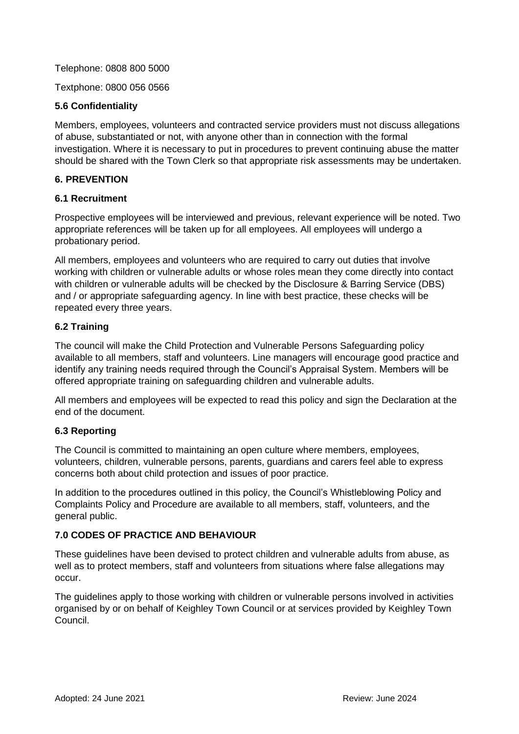Telephone: 0808 800 5000

Textphone: 0800 056 0566

### **5.6 Confidentiality**

Members, employees, volunteers and contracted service providers must not discuss allegations of abuse, substantiated or not, with anyone other than in connection with the formal investigation. Where it is necessary to put in procedures to prevent continuing abuse the matter should be shared with the Town Clerk so that appropriate risk assessments may be undertaken.

### **6. PREVENTION**

#### **6.1 Recruitment**

Prospective employees will be interviewed and previous, relevant experience will be noted. Two appropriate references will be taken up for all employees. All employees will undergo a probationary period.

All members, employees and volunteers who are required to carry out duties that involve working with children or vulnerable adults or whose roles mean they come directly into contact with children or vulnerable adults will be checked by the Disclosure & Barring Service (DBS) and / or appropriate safeguarding agency. In line with best practice, these checks will be repeated every three years.

### **6.2 Training**

The council will make the Child Protection and Vulnerable Persons Safeguarding policy available to all members, staff and volunteers. Line managers will encourage good practice and identify any training needs required through the Council's Appraisal System. Members will be offered appropriate training on safeguarding children and vulnerable adults.

All members and employees will be expected to read this policy and sign the Declaration at the end of the document.

### **6.3 Reporting**

The Council is committed to maintaining an open culture where members, employees, volunteers, children, vulnerable persons, parents, guardians and carers feel able to express concerns both about child protection and issues of poor practice.

In addition to the procedures outlined in this policy, the Council's Whistleblowing Policy and Complaints Policy and Procedure are available to all members, staff, volunteers, and the general public.

### **7.0 CODES OF PRACTICE AND BEHAVIOUR**

These guidelines have been devised to protect children and vulnerable adults from abuse, as well as to protect members, staff and volunteers from situations where false allegations may occur.

The guidelines apply to those working with children or vulnerable persons involved in activities organised by or on behalf of Keighley Town Council or at services provided by Keighley Town Council.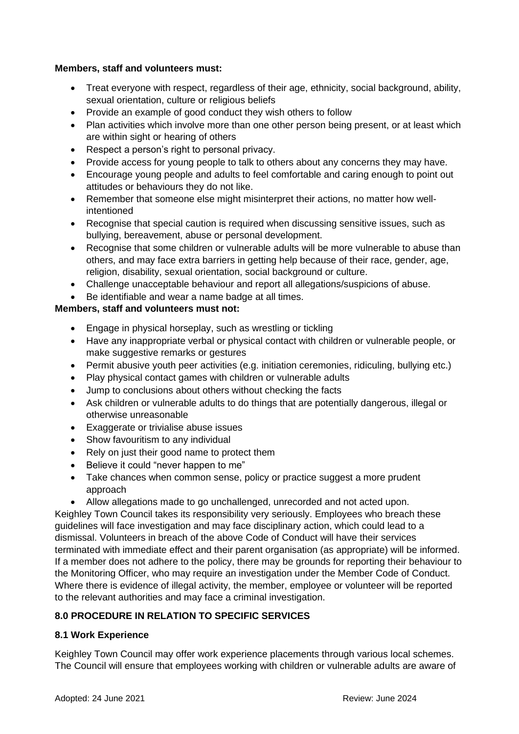## **Members, staff and volunteers must:**

- Treat everyone with respect, regardless of their age, ethnicity, social background, ability, sexual orientation, culture or religious beliefs
- Provide an example of good conduct they wish others to follow
- Plan activities which involve more than one other person being present, or at least which are within sight or hearing of others
- Respect a person's right to personal privacy.
- Provide access for young people to talk to others about any concerns they may have.
- Encourage young people and adults to feel comfortable and caring enough to point out attitudes or behaviours they do not like.
- Remember that someone else might misinterpret their actions, no matter how wellintentioned
- Recognise that special caution is required when discussing sensitive issues, such as bullying, bereavement, abuse or personal development.
- Recognise that some children or vulnerable adults will be more vulnerable to abuse than others, and may face extra barriers in getting help because of their race, gender, age, religion, disability, sexual orientation, social background or culture.
- Challenge unacceptable behaviour and report all allegations/suspicions of abuse.
- Be identifiable and wear a name badge at all times.

# **Members, staff and volunteers must not:**

- Engage in physical horseplay, such as wrestling or tickling
- Have any inappropriate verbal or physical contact with children or vulnerable people, or make suggestive remarks or gestures
- Permit abusive youth peer activities (e.g. initiation ceremonies, ridiculing, bullying etc.)
- Play physical contact games with children or vulnerable adults
- Jump to conclusions about others without checking the facts
- Ask children or vulnerable adults to do things that are potentially dangerous, illegal or otherwise unreasonable
- Exaggerate or trivialise abuse issues
- Show favouritism to any individual
- Rely on just their good name to protect them
- Believe it could "never happen to me"
- Take chances when common sense, policy or practice suggest a more prudent approach
- Allow allegations made to go unchallenged, unrecorded and not acted upon.

Keighley Town Council takes its responsibility very seriously. Employees who breach these guidelines will face investigation and may face disciplinary action, which could lead to a dismissal. Volunteers in breach of the above Code of Conduct will have their services terminated with immediate effect and their parent organisation (as appropriate) will be informed. If a member does not adhere to the policy, there may be grounds for reporting their behaviour to the Monitoring Officer, who may require an investigation under the Member Code of Conduct. Where there is evidence of illegal activity, the member, employee or volunteer will be reported to the relevant authorities and may face a criminal investigation.

# **8.0 PROCEDURE IN RELATION TO SPECIFIC SERVICES**

# **8.1 Work Experience**

Keighley Town Council may offer work experience placements through various local schemes. The Council will ensure that employees working with children or vulnerable adults are aware of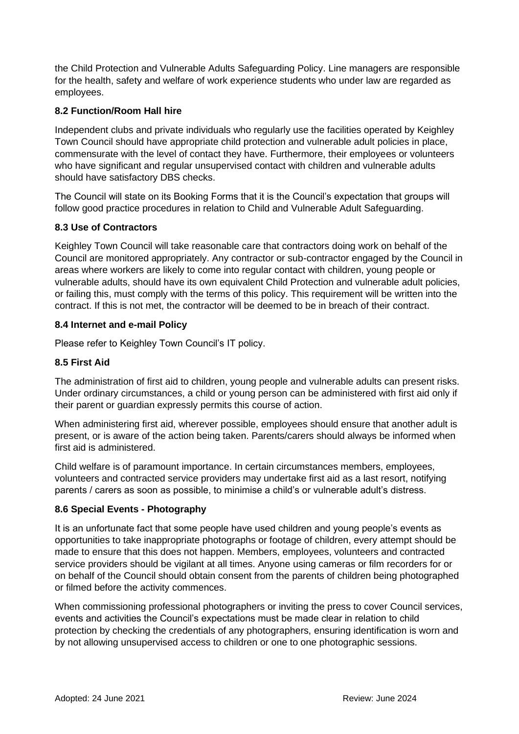the Child Protection and Vulnerable Adults Safeguarding Policy. Line managers are responsible for the health, safety and welfare of work experience students who under law are regarded as employees.

# **8.2 Function/Room Hall hire**

Independent clubs and private individuals who regularly use the facilities operated by Keighley Town Council should have appropriate child protection and vulnerable adult policies in place, commensurate with the level of contact they have. Furthermore, their employees or volunteers who have significant and regular unsupervised contact with children and vulnerable adults should have satisfactory DBS checks.

The Council will state on its Booking Forms that it is the Council's expectation that groups will follow good practice procedures in relation to Child and Vulnerable Adult Safeguarding.

### **8.3 Use of Contractors**

Keighley Town Council will take reasonable care that contractors doing work on behalf of the Council are monitored appropriately. Any contractor or sub-contractor engaged by the Council in areas where workers are likely to come into regular contact with children, young people or vulnerable adults, should have its own equivalent Child Protection and vulnerable adult policies, or failing this, must comply with the terms of this policy. This requirement will be written into the contract. If this is not met, the contractor will be deemed to be in breach of their contract.

### **8.4 Internet and e-mail Policy**

Please refer to Keighley Town Council's IT policy.

## **8.5 First Aid**

The administration of first aid to children, young people and vulnerable adults can present risks. Under ordinary circumstances, a child or young person can be administered with first aid only if their parent or guardian expressly permits this course of action.

When administering first aid, wherever possible, employees should ensure that another adult is present, or is aware of the action being taken. Parents/carers should always be informed when first aid is administered.

Child welfare is of paramount importance. In certain circumstances members, employees, volunteers and contracted service providers may undertake first aid as a last resort, notifying parents / carers as soon as possible, to minimise a child's or vulnerable adult's distress.

### **8.6 Special Events - Photography**

It is an unfortunate fact that some people have used children and young people's events as opportunities to take inappropriate photographs or footage of children, every attempt should be made to ensure that this does not happen. Members, employees, volunteers and contracted service providers should be vigilant at all times. Anyone using cameras or film recorders for or on behalf of the Council should obtain consent from the parents of children being photographed or filmed before the activity commences.

When commissioning professional photographers or inviting the press to cover Council services, events and activities the Council's expectations must be made clear in relation to child protection by checking the credentials of any photographers, ensuring identification is worn and by not allowing unsupervised access to children or one to one photographic sessions.